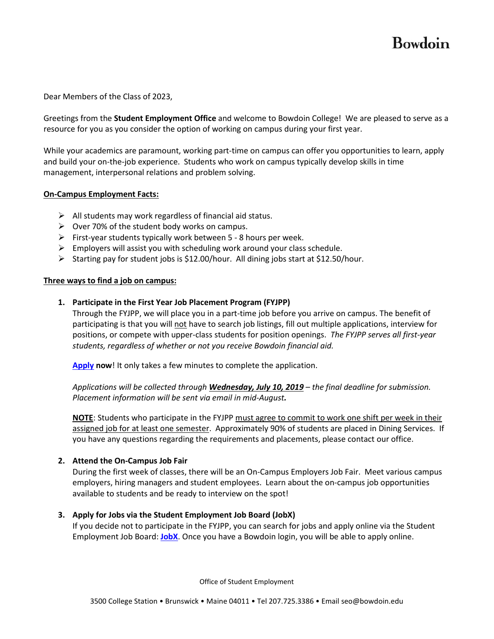# Bowdoin

Dear Members of the Class of 2023,

Greetings from the **Student Employment Office** and welcome to Bowdoin College! We are pleased to serve as a resource for you as you consider the option of working on campus during your first year.

While your academics are paramount, working part-time on campus can offer you opportunities to learn, apply and build your on-the-job experience. Students who work on campus typically develop skills in time management, interpersonal relations and problem solving.

#### **On-Campus Employment Facts:**

- $\triangleright$  All students may work regardless of financial aid status.
- $\triangleright$  Over 70% of the student body works on campus.
- $\triangleright$  First-year students typically work between 5 8 hours per week.
- $\triangleright$  Employers will assist you with scheduling work around your class schedule.
- Starting pay for student jobs is \$12.00/hour. All dining jobs start at \$12.50/hour.

#### **Three ways to find a job on campus:**

#### **1. Participate in the First Year Job Placement Program (FYJPP)**

Through the FYJPP, we will place you in a part-time job before you arrive on campus. The benefit of participating is that you will not have to search job listings, fill out multiple applications, interview for positions, or compete with upper-class students for position openings. *The FYJPP serves all first-year students, regardless of whether or not you receive Bowdoin financial aid.* 

**[Apply](https://bowdoincollege.qualtrics.com/jfe/form/SV_3IDSuAl27KNwPJ3) now**! It only takes a few minutes to complete the application.

*Applications will be collected through Wednesday, July 10, 2019 – the final deadline for submission. Placement information will be sent via email in mid-August.* 

**NOTE**: Students who participate in the FYJPP must agree to commit to work one shift per week in their assigned job for at least one semester. Approximately 90% of students are placed in Dining Services. If you have any questions regarding the requirements and placements, please contact our office.

#### **2. Attend the On-Campus Job Fair**

During the first week of classes, there will be an On-Campus Employers Job Fair. Meet various campus employers, hiring managers and student employees. Learn about the on-campus job opportunities available to students and be ready to interview on the spot!

#### **3. Apply for Jobs via the Student Employment Job Board (JobX)**

If you decide not to participate in the FYJPP, you can search for jobs and apply online via the Student Employment Job Board: **[JobX](https://studentemployment.bowdoin.edu/JobX_FindAJob.aspx)**. Once you have a Bowdoin login, you will be able to apply online.

Office of Student Employment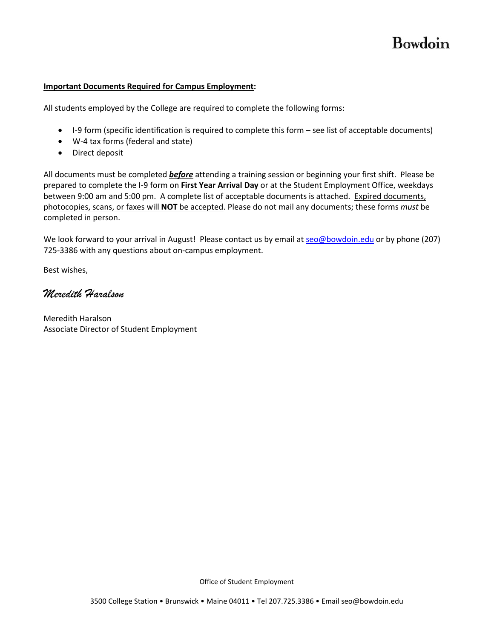# Bowdoin

### **Important Documents Required for Campus Employment:**

All students employed by the College are required to complete the following forms:

- I-9 form (specific identification is required to complete this form see list of acceptable documents)
- W-4 tax forms (federal and state)
- Direct deposit

All documents must be completed *before* attending a training session or beginning your first shift. Please be prepared to complete the I-9 form on **First Year Arrival Day** or at the Student Employment Office, weekdays between 9:00 am and 5:00 pm. A complete list of acceptable documents is attached. Expired documents, photocopies, scans, or faxes will **NOT** be accepted. Please do not mail any documents; these forms *must* be completed in person.

We look forward to your arrival in August! Please contact us by email at [seo@bowdoin.edu](mailto:seo@bowdoin.edu) or by phone (207) 725-3386 with any questions about on-campus employment.

Best wishes,

*Meredith Haralson*

Meredith Haralson Associate Director of Student Employment

Office of Student Employment